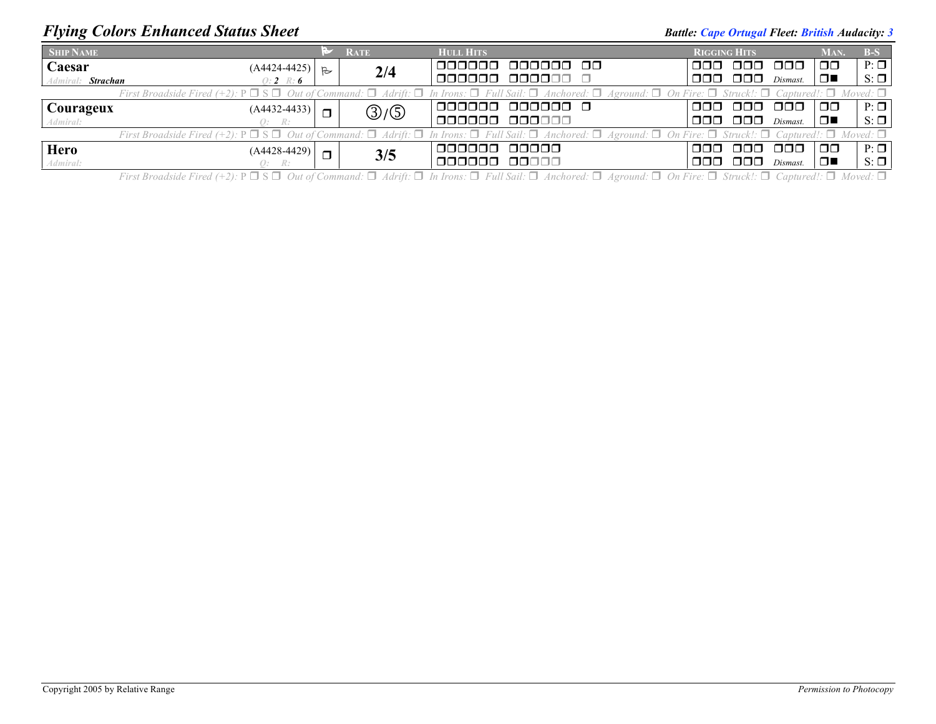## *Flying Colors Enhanced Status Sheet* **Battle:** *Cape Ortugal Fleet: British Audacity: 3 Battle: Cape Ortugal Fleet: British Audacity: 3*

| <b>SHIP NAME</b>                                                                                                                                                                                                      |        | <b>RATE</b> | <b>HULL HITS</b>            | <b>RIGGING HITS</b> |                        |          | MAN.          | $B-S$     |  |  |  |
|-----------------------------------------------------------------------------------------------------------------------------------------------------------------------------------------------------------------------|--------|-------------|-----------------------------|---------------------|------------------------|----------|---------------|-----------|--|--|--|
| <b>Caesar</b><br>$(A4424-4425)$ $\Big $ B                                                                                                                                                                             |        | 2/4         | <u>nanana </u><br>000000 00 | nnn.                | 000 000                |          | $\Box$ $\Box$ | $P: \Box$ |  |  |  |
| Admiral: Strachan<br>$0:2 \quad \mathbb{R}:6$                                                                                                                                                                         |        |             | ,000000 000000 0            | ooo                 | $\Box$ $\Box$          | Dismast. | ▏□■           | $S: \Box$ |  |  |  |
| First Broadside Fired (+2): $P \Box S \Box$ Out of Command: $\Box$ Adrift: $\Box$ In Irons: $\Box$ Full Sail: $\Box$ Anchored: $\Box$ Aground: $\Box$ On Fire: $\Box$ Struck!: $\Box$ Captured!: $\Box$ Moved: $\Box$ |        |             |                             |                     |                        |          |               |           |  |  |  |
| <b>Courageux</b><br>$(A4432 - 4433)$                                                                                                                                                                                  | $\Box$ | ③/⑤         | 1000000 000000 O            | ooo                 | 000 000                |          | $\Box$        | $P: \Box$ |  |  |  |
| Admiral:<br>O: R:                                                                                                                                                                                                     |        |             | ,000000 000000              | 000.                | $\Box$ $\Box$ Dismast. |          | ▌□■           | $S: \Box$ |  |  |  |
| First Broadside Fired (+2): $P \Box S \Box$ Out of Command: $\Box$ Adrift: $\Box$ In Irons: $\Box$ Full Sail: $\Box$ Anchored: $\Box$ Aground: $\Box$ On Fire: $\Box$ Struck!: $\Box$ Captured!: $\Box$ Moved: $\Box$ |        |             |                             |                     |                        |          |               |           |  |  |  |
| Hero<br>$(A4428-4429)$                                                                                                                                                                                                | $\Box$ |             | 000000 00000                | nnn.                | - 000 -                | -000     | 00            | $P: \Box$ |  |  |  |
| Admiral:<br>Q: R:                                                                                                                                                                                                     |        | 3/5         | ,000000 00000               | OOOL                | 000 -                  | Dismast. | ▁▁▁▁          | $S: \Box$ |  |  |  |

First Broadside Fired (+2):  $P \Box S \Box$  Out of Command:  $\Box$  Adrift:  $\Box$  In Irons:  $\Box$  Full Sail:  $\Box$  Anchored:  $\Box$  Aground:  $\Box$  On Fire:  $\Box$  Struck!:  $\Box$  Captured!:  $\Box$  Moved:  $\Box$